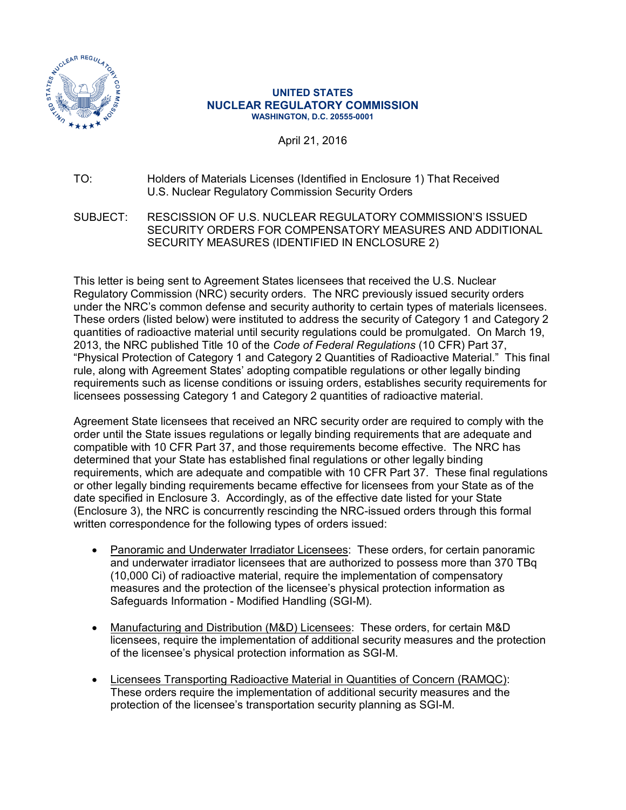

#### **UNITED STATES NUCLEAR REGULATORY COMMISSION WASHINGTON, D.C. 20555-0001**

April 21, 2016

### TO: Holders of Materials Licenses (Identified in Enclosure 1) That Received U.S. Nuclear Regulatory Commission Security Orders

SUBJECT: RESCISSION OF U.S. NUCLEAR REGULATORY COMMISSION'S ISSUED SECURITY ORDERS FOR COMPENSATORY MEASURES AND ADDITIONAL SECURITY MEASURES (IDENTIFIED IN ENCLOSURE 2)

This letter is being sent to Agreement States licensees that received the U.S. Nuclear Regulatory Commission (NRC) security orders. The NRC previously issued security orders under the NRC's common defense and security authority to certain types of materials licensees. These orders (listed below) were instituted to address the security of Category 1 and Category 2 quantities of radioactive material until security regulations could be promulgated. On March 19, 2013, the NRC published Title 10 of the *Code of Federal Regulations* (10 CFR) Part 37, "Physical Protection of Category 1 and Category 2 Quantities of Radioactive Material." This final rule, along with Agreement States' adopting compatible regulations or other legally binding requirements such as license conditions or issuing orders, establishes security requirements for licensees possessing Category 1 and Category 2 quantities of radioactive material.

Agreement State licensees that received an NRC security order are required to comply with the order until the State issues regulations or legally binding requirements that are adequate and compatible with 10 CFR Part 37, and those requirements become effective. The NRC has determined that your State has established final regulations or other legally binding requirements, which are adequate and compatible with 10 CFR Part 37. These final regulations or other legally binding requirements became effective for licensees from your State as of the date specified in Enclosure 3. Accordingly, as of the effective date listed for your State (Enclosure 3), the NRC is concurrently rescinding the NRC-issued orders through this formal written correspondence for the following types of orders issued:

- Panoramic and Underwater Irradiator Licensees: These orders, for certain panoramic and underwater irradiator licensees that are authorized to possess more than 370 TBq (10,000 Ci) of radioactive material, require the implementation of compensatory measures and the protection of the licensee's physical protection information as Safeguards Information - Modified Handling (SGI-M).
- Manufacturing and Distribution (M&D) Licensees: These orders, for certain M&D licensees, require the implementation of additional security measures and the protection of the licensee's physical protection information as SGI-M.
- Licensees Transporting Radioactive Material in Quantities of Concern (RAMQC): These orders require the implementation of additional security measures and the protection of the licensee's transportation security planning as SGI-M.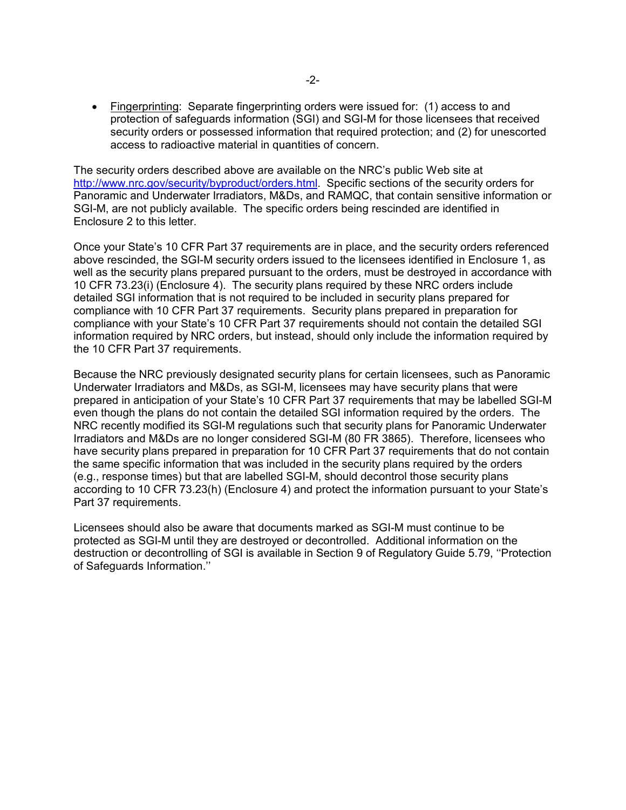• Fingerprinting: Separate fingerprinting orders were issued for: (1) access to and protection of safeguards information (SGI) and SGI-M for those licensees that received security orders or possessed information that required protection; and (2) for unescorted access to radioactive material in quantities of concern.

The security orders described above are available on the NRC's public Web site at [http://www.nrc.gov/security/byproduct/orders.html.](http://www.nrc.gov/security/byproduct/orders.html) Specific sections of the security orders for Panoramic and Underwater Irradiators, M&Ds, and RAMQC, that contain sensitive information or SGI-M, are not publicly available. The specific orders being rescinded are identified in Enclosure 2 to this letter.

Once your State's 10 CFR Part 37 requirements are in place, and the security orders referenced above rescinded, the SGI-M security orders issued to the licensees identified in Enclosure 1, as well as the security plans prepared pursuant to the orders, must be destroyed in accordance with 10 CFR 73.23(i) (Enclosure 4). The security plans required by these NRC orders include detailed SGI information that is not required to be included in security plans prepared for compliance with 10 CFR Part 37 requirements. Security plans prepared in preparation for compliance with your State's 10 CFR Part 37 requirements should not contain the detailed SGI information required by NRC orders, but instead, should only include the information required by the 10 CFR Part 37 requirements.

Because the NRC previously designated security plans for certain licensees, such as Panoramic Underwater Irradiators and M&Ds, as SGI-M, licensees may have security plans that were prepared in anticipation of your State's 10 CFR Part 37 requirements that may be labelled SGI-M even though the plans do not contain the detailed SGI information required by the orders. The NRC recently modified its SGI-M regulations such that security plans for Panoramic Underwater Irradiators and M&Ds are no longer considered SGI-M (80 FR 3865). Therefore, licensees who have security plans prepared in preparation for 10 CFR Part 37 requirements that do not contain the same specific information that was included in the security plans required by the orders (e.g., response times) but that are labelled SGI-M, should decontrol those security plans according to 10 CFR 73.23(h) (Enclosure 4) and protect the information pursuant to your State's Part 37 requirements.

Licensees should also be aware that documents marked as SGI-M must continue to be protected as SGI-M until they are destroyed or decontrolled. Additional information on the destruction or decontrolling of SGI is available in Section 9 of Regulatory Guide 5.79, ''Protection of Safeguards Information.''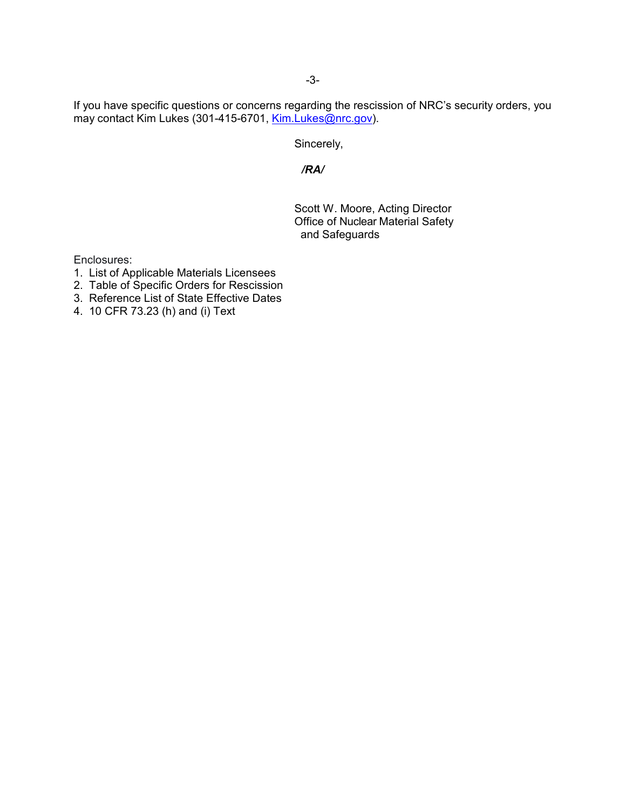If you have specific questions or concerns regarding the rescission of NRC's security orders, you may contact Kim Lukes (301-415-6701, [Kim.Lukes@nrc.gov\)](mailto:Kim.Lukes@nrc.gov).

Sincerely,

*/RA/*

Scott W. Moore, Acting Director Office of Nuclear Material Safety and Safeguards

Enclosures:

- 1. List of Applicable Materials Licensees
- 2. Table of Specific Orders for Rescission
- 3. Reference List of State Effective Dates
- 4. 10 CFR 73.23 (h) and (i) Text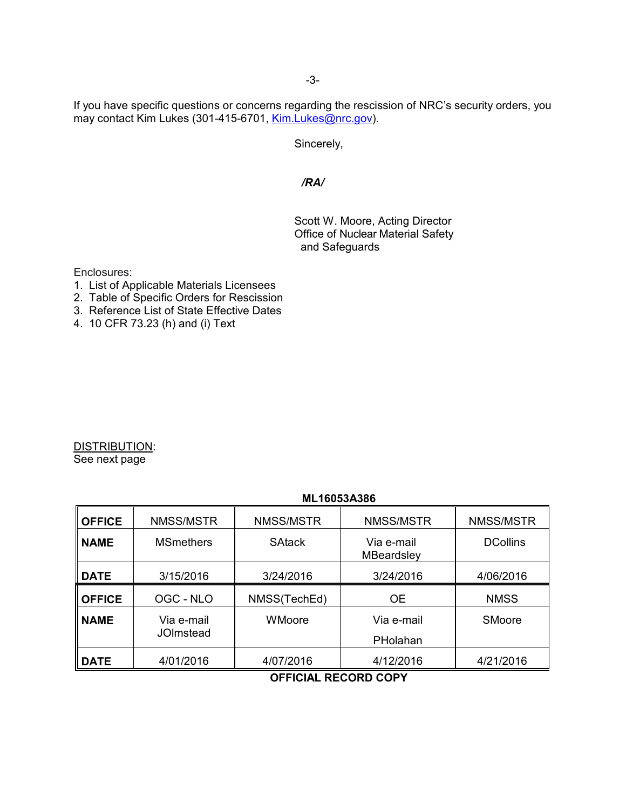If you have specific questions or concerns regarding the rescission of NRC's security orders, you may contact Kim Lukes (301-415-6701, [Kim.Lukes@nrc.gov\)](mailto:Kim.Lukes@nrc.gov).

Sincerely,

### */RA/*

Scott W. Moore, Acting Director Office of Nuclear Material Safety and Safeguards

Enclosures:

- 1. List of Applicable Materials Licensees
- 2. Table of Specific Orders for Rescission
- 3. Reference List of State Effective Dates
- 4. 10 CFR 73.23 (h) and (i) Text

DISTRIBUTION: See next page

#### **ML16053A386**

| <b>OFFICE</b> | NMSS/MSTR               | NMSS/MSTR     | NMSS/MSTR                       | NMSS/MSTR       |
|---------------|-------------------------|---------------|---------------------------------|-----------------|
| <b>NAME</b>   | <b>MSmethers</b>        | <b>SAtack</b> | Via e-mail<br><b>MBeardsley</b> | <b>DCollins</b> |
| <b>DATE</b>   | 3/15/2016               | 3/24/2016     | 3/24/2016                       | 4/06/2016       |
| <b>OFFICE</b> | OGC - NLO               | NMSS(TechEd)  | <b>OE</b>                       | <b>NMSS</b>     |
| <b>NAME</b>   | Via e-mail<br>JOImstead | WMoore        | Via e-mail<br>PHolahan          | <b>SMoore</b>   |
| <b>DATE</b>   | 4/01/2016               | 4/07/2016     | 4/12/2016                       | 4/21/2016       |

**OFFICIAL RECORD COPY**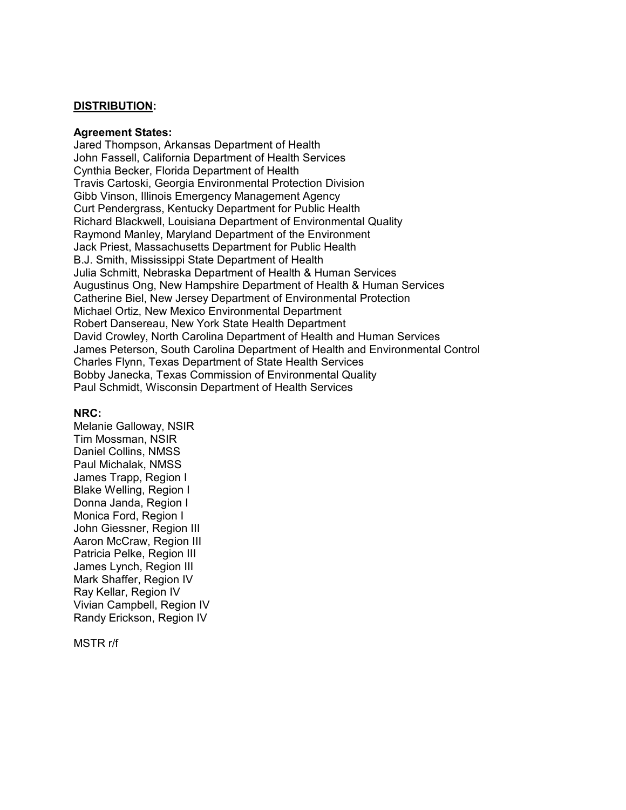#### **DISTRIBUTION:**

#### **Agreement States:**

Jared Thompson, Arkansas Department of Health John Fassell, California Department of Health Services Cynthia Becker, Florida Department of Health Travis Cartoski, Georgia Environmental Protection Division Gibb Vinson, Illinois Emergency Management Agency Curt Pendergrass, Kentucky Department for Public Health Richard Blackwell, Louisiana Department of Environmental Quality Raymond Manley, Maryland Department of the Environment Jack Priest, Massachusetts Department for Public Health B.J. Smith, Mississippi State Department of Health Julia Schmitt, Nebraska Department of Health & Human Services Augustinus Ong, New Hampshire Department of Health & Human Services Catherine Biel, New Jersey Department of Environmental Protection Michael Ortiz, New Mexico Environmental Department Robert Dansereau, New York State Health Department David Crowley, North Carolina Department of Health and Human Services James Peterson, South Carolina Department of Health and Environmental Control Charles Flynn, Texas Department of State Health Services Bobby Janecka, Texas Commission of Environmental Quality Paul Schmidt, Wisconsin Department of Health Services

#### **NRC:**

Melanie Galloway, NSIR Tim Mossman, NSIR Daniel Collins, NMSS Paul Michalak, NMSS James Trapp, Region I Blake Welling, Region I Donna Janda, Region I Monica Ford, Region I John Giessner, Region III Aaron McCraw, Region III Patricia Pelke, Region III James Lynch, Region III Mark Shaffer, Region IV Ray Kellar, Region IV Vivian Campbell, Region IV Randy Erickson, Region IV

MSTR r/f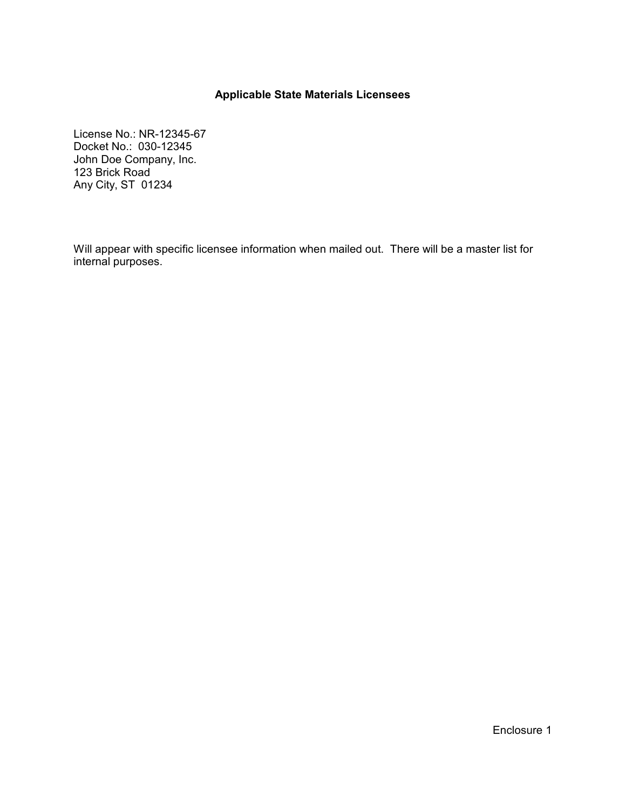### **Applicable State Materials Licensees**

License No.: NR-12345-67 Docket No.: 030-12345 John Doe Company, Inc. 123 Brick Road Any City, ST 01234

Will appear with specific licensee information when mailed out. There will be a master list for internal purposes.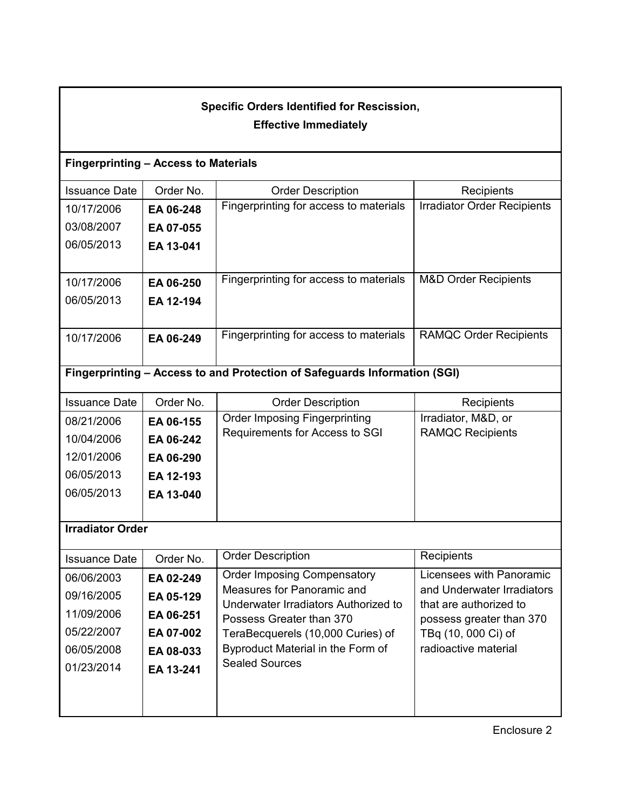# **Specific Orders Identified for Rescission, Effective Immediately**

## **Fingerprinting – Access to Materials**

| <b>Issuance Date</b> | Order No. | <b>Order Description</b>               | Recipients                         |
|----------------------|-----------|----------------------------------------|------------------------------------|
| 10/17/2006           | EA 06-248 | Fingerprinting for access to materials | <b>Irradiator Order Recipients</b> |
| 03/08/2007           | EA 07-055 |                                        |                                    |
| 06/05/2013           | EA 13-041 |                                        |                                    |
|                      |           |                                        |                                    |
| 10/17/2006           | EA 06-250 | Fingerprinting for access to materials | <b>M&amp;D Order Recipients</b>    |
| 06/05/2013           | EA 12-194 |                                        |                                    |
|                      |           |                                        |                                    |
| 10/17/2006           | EA 06-249 | Fingerprinting for access to materials | <b>RAMQC Order Recipients</b>      |
|                      |           |                                        |                                    |

# **Fingerprinting – Access to and Protection of Safeguards Information (SGI)**

| <b>Issuance Date</b> | Order No. | <b>Order Description</b>             | Recipients              |
|----------------------|-----------|--------------------------------------|-------------------------|
| 08/21/2006           | EA 06-155 | <b>Order Imposing Fingerprinting</b> | Irradiator, M&D, or     |
| 10/04/2006           | EA 06-242 | Requirements for Access to SGI       | <b>RAMQC Recipients</b> |
| 12/01/2006           | EA 06-290 |                                      |                         |
| 06/05/2013           | EA 12-193 |                                      |                         |
| 06/05/2013           | EA 13-040 |                                      |                         |
|                      |           |                                      |                         |

# **Irradiator Order**

| <b>Issuance Date</b> | Order No. | <b>Order Description</b>                                           | Recipients                                           |
|----------------------|-----------|--------------------------------------------------------------------|------------------------------------------------------|
| 06/06/2003           | EA 02-249 | <b>Order Imposing Compensatory</b>                                 | Licensees with Panoramic                             |
| 09/16/2005           | EA 05-129 | Measures for Panoramic and<br>Underwater Irradiators Authorized to | and Underwater Irradiators<br>that are authorized to |
| 11/09/2006           | EA 06-251 | Possess Greater than 370                                           | possess greater than 370                             |
| 05/22/2007           | EA 07-002 | TeraBecquerels (10,000 Curies) of                                  | TBq (10, 000 Ci) of                                  |
| 06/05/2008           | EA 08-033 | Byproduct Material in the Form of                                  | radioactive material                                 |
| 01/23/2014           | EA 13-241 | <b>Sealed Sources</b>                                              |                                                      |
|                      |           |                                                                    |                                                      |
|                      |           |                                                                    |                                                      |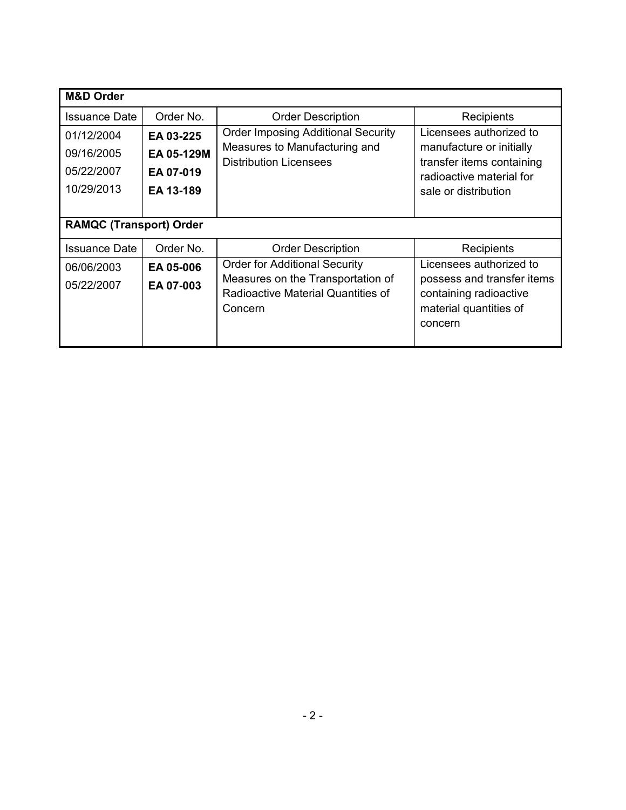| <b>M&amp;D Order</b>           |            |                                                                                    |                                                                                           |
|--------------------------------|------------|------------------------------------------------------------------------------------|-------------------------------------------------------------------------------------------|
| <b>Issuance Date</b>           | Order No.  | <b>Order Description</b>                                                           | Recipients                                                                                |
| 01/12/2004                     | EA 03-225  | <b>Order Imposing Additional Security</b>                                          | Licensees authorized to                                                                   |
| 09/16/2005                     | EA 05-129M | Measures to Manufacturing and<br><b>Distribution Licensees</b>                     | manufacture or initially<br>transfer items containing                                     |
| 05/22/2007                     | EA 07-019  |                                                                                    | radioactive material for                                                                  |
| 10/29/2013                     | EA 13-189  |                                                                                    | sale or distribution                                                                      |
|                                |            |                                                                                    |                                                                                           |
| <b>RAMQC (Transport) Order</b> |            |                                                                                    |                                                                                           |
| <b>Issuance Date</b>           | Order No.  | <b>Order Description</b>                                                           | Recipients                                                                                |
| 06/06/2003                     | EA 05-006  | <b>Order for Additional Security</b>                                               | Licensees authorized to                                                                   |
| 05/22/2007                     | EA 07-003  | Measures on the Transportation of<br>Radioactive Material Quantities of<br>Concern | possess and transfer items<br>containing radioactive<br>material quantities of<br>concern |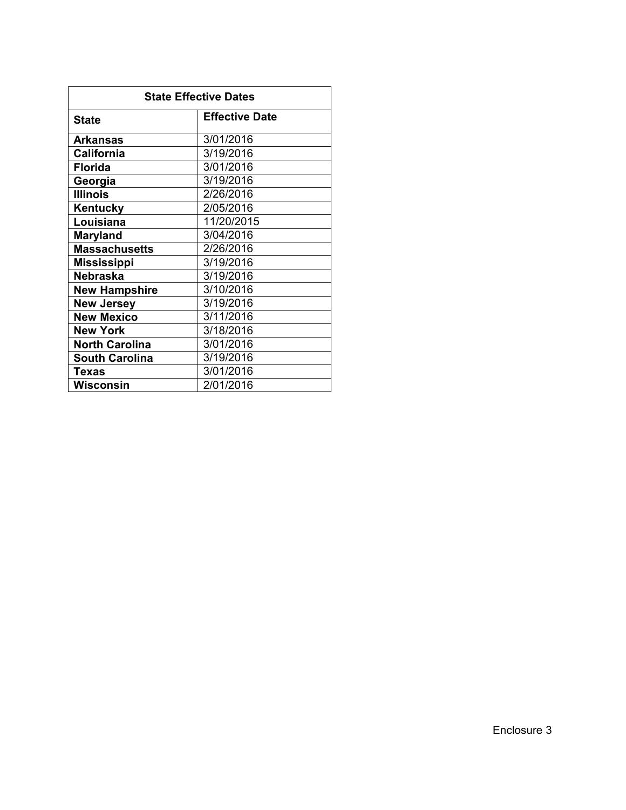| <b>State Effective Dates</b> |                       |  |
|------------------------------|-----------------------|--|
| <b>State</b>                 | <b>Effective Date</b> |  |
| Arkansas                     | 3/01/2016             |  |
| California                   | 3/19/2016             |  |
| <b>Florida</b>               | 3/01/2016             |  |
| Georgia                      | 3/19/2016             |  |
| <b>Illinois</b>              | 2/26/2016             |  |
| Kentucky                     | 2/05/2016             |  |
| Louisiana                    | 11/20/2015            |  |
| <b>Maryland</b>              | 3/04/2016             |  |
| <b>Massachusetts</b>         | 2/26/2016             |  |
| <b>Mississippi</b>           | 3/19/2016             |  |
| <b>Nebraska</b>              | 3/19/2016             |  |
| <b>New Hampshire</b>         | 3/10/2016             |  |
| <b>New Jersey</b>            | 3/19/2016             |  |
| <b>New Mexico</b>            | 3/11/2016             |  |
| <b>New York</b>              | 3/18/2016             |  |
| <b>North Carolina</b>        | 3/01/2016             |  |
| <b>South Carolina</b>        | 3/19/2016             |  |
| Texas                        | 3/01/2016             |  |
| Wisconsin                    | 2/01/2016             |  |